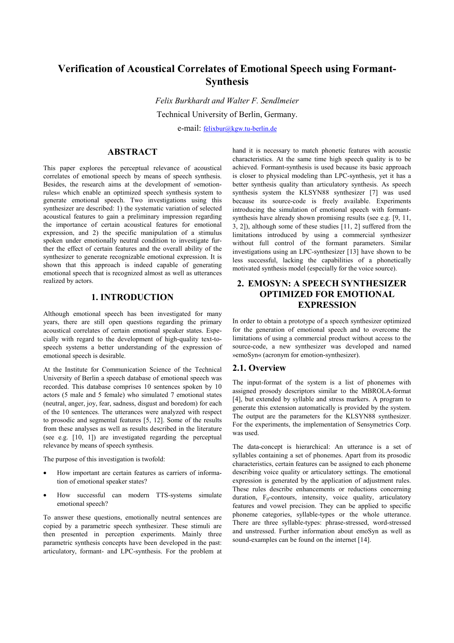# **Verification of Acoustical Correlates of Emotional Speech using Formant-Synthesis**

*Felix Burkhardt and Walter F. Sendlmeier* Technical University of Berlin, Germany.

e-mail: [felixbur@kgw.tu-berlin.de](mailto:felixbur@kgw.tu-berlin.de)

### **ABSTRACT**

This paper explores the perceptual relevance of acoustical correlates of emotional speech by means of speech synthesis. Besides, the research aims at the development of »emotionrules« which enable an optimized speech synthesis system to generate emotional speech. Two investigations using this synthesizer are described: 1) the systematic variation of selected acoustical features to gain a preliminary impression regarding the importance of certain acoustical features for emotional expression, and 2) the specific manipulation of a stimulus spoken under emotionally neutral condition to investigate further the effect of certain features and the overall ability of the synthesizer to generate recognizable emotional expression. It is shown that this approach is indeed capable of generating emotional speech that is recognized almost as well as utterances realized by actors.

### **1. INTRODUCTION**

Although emotional speech has been investigated for many years, there are still open questions regarding the primary acoustical correlates of certain emotional speaker states. Especially with regard to the development of high-quality text-tospeech systems a better understanding of the expression of emotional speech is desirable.

At the Institute for Communication Science of the Technical University of Berlin a speech database of emotional speech was recorded. This database comprises 10 sentences spoken by 10 actors (5 male and 5 female) who simulated 7 emotional states (neutral, anger, joy, fear, sadness, disgust and boredom) for each of the 10 sentences. The utterances were analyzed with respect to prosodic and segmental features [5, 12]. Some of the results from these analyses as well as results described in the literature (see e.g. [10, 1]) are investigated regarding the perceptual relevance by means of speech synthesis.

The purpose of this investigation is twofold:

- How important are certain features as carriers of information of emotional speaker states?
- How successful can modern TTS-systems simulate emotional speech?

To answer these questions, emotionally neutral sentences are copied by a parametric speech synthesizer. These stimuli are then presented in perception experiments. Mainly three parametric synthesis concepts have been developed in the past: articulatory, formant- and LPC-synthesis. For the problem at

hand it is necessary to match phonetic features with acoustic characteristics. At the same time high speech quality is to be achieved. Formant-synthesis is used because its basic approach is closer to physical modeling than LPC-synthesis, yet it has a better synthesis quality than articulatory synthesis. As speech synthesis system the KLSYN88 synthesizer [7] was used because its source-code is freely available. Experiments introducing the simulation of emotional speech with formantsynthesis have already shown promising results (see e.g. [9, 11, 3, 2]), although some of these studies [11, 2] suffered from the limitations introduced by using a commercial synthesizer without full control of the formant parameters. Similar investigations using an LPC-synthesizer [13] have shown to be less successful, lacking the capabilities of a phonetically motivated synthesis model (especially for the voice source).

## **2. EMOSYN: A SPEECH SYNTHESIZER OPTIMIZED FOR EMOTIONAL EXPRESSION**

In order to obtain a prototype of a speech synthesizer optimized for the generation of emotional speech and to overcome the limitations of using a commercial product without access to the source-code, a new synthesizer was developed and named »emoSyn« (acronym for emotion-synthesizer).

#### **2.1. Overview**

The input-format of the system is a list of phonemes with assigned prosody descriptors similar to the MBROLA-format [4], but extended by syllable and stress markers. A program to generate this extension automatically is provided by the system. The output are the parameters for the KLSYN88 synthesizer. For the experiments, the implementation of Sensymetrics Corp. was used.

The data-concept is hierarchical: An utterance is a set of syllables containing a set of phonemes. Apart from its prosodic characteristics, certain features can be assigned to each phoneme describing voice quality or articulatory settings. The emotional expression is generated by the application of adjustment rules. These rules describe enhancements or reductions concerning duration,  $F_0$ -contours, intensity, voice quality, articulatory features and vowel precision. They can be applied to specific phoneme categories, syllable-types or the whole utterance. There are three syllable-types: phrase-stressed, word-stressed and unstressed. Further information about emoSyn as well as sound-examples can be found on the internet [14].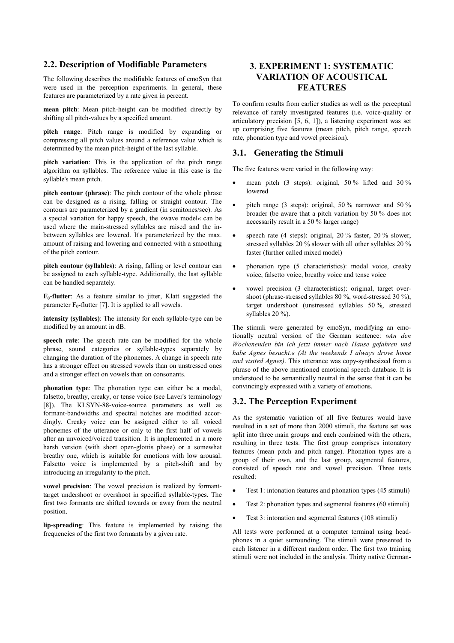#### **2.2. Description of Modifiable Parameters**

The following describes the modifiable features of emoSyn that were used in the perception experiments. In general, these features are parameterized by a rate given in percent.

**mean pitch**: Mean pitch-height can be modified directly by shifting all pitch-values by a specified amount.

**pitch range**: Pitch range is modified by expanding or compressing all pitch values around a reference value which is determined by the mean pitch-height of the last syllable.

**pitch variation**: This is the application of the pitch range algorithm on syllables. The reference value in this case is the syllable's mean pitch.

**pitch contour (phrase)**: The pitch contour of the whole phrase can be designed as a rising, falling or straight contour. The contours are parameterized by a gradient (in semitones/sec). As a special variation for happy speech, the »wave model« can be used where the main-stressed syllables are raised and the inbetween syllables are lowered. It's parameterized by the max. amount of raising and lowering and connected with a smoothing of the pitch contour.

**pitch contour (syllables)**: A rising, falling or level contour can be assigned to each syllable-type. Additionally, the last syllable can be handled separately.

**F0-flutter**: As a feature similar to jitter, Klatt suggested the parameter  $F_0$ -flutter [7]. It is applied to all vowels.

**intensity (syllables)**: The intensity for each syllable-type can be modified by an amount in dB.

**speech rate**: The speech rate can be modified for the whole phrase, sound categories or syllable-types separately by changing the duration of the phonemes. A change in speech rate has a stronger effect on stressed vowels than on unstressed ones and a stronger effect on vowels than on consonants.

**phonation type**: The phonation type can either be a modal, falsetto, breathy, creaky, or tense voice (see Laver's terminology [8]). The KLSYN-88-voice-source parameters as well as formant-bandwidths and spectral notches are modified accordingly. Creaky voice can be assigned either to all voiced phonemes of the utterance or only to the first half of vowels after an unvoiced/voiced transition. It is implemented in a more harsh version (with short open-glottis phase) or a somewhat breathy one, which is suitable for emotions with low arousal. Falsetto voice is implemented by a pitch-shift and by introducing an irregularity to the pitch.

**vowel precision**: The vowel precision is realized by formanttarget undershoot or overshoot in specified syllable-types. The first two formants are shifted towards or away from the neutral position.

**lip-spreading**: This feature is implemented by raising the frequencies of the first two formants by a given rate.

## **3. EXPERIMENT 1: SYSTEMATIC VARIATION OF ACOUSTICAL FEATURES**

To confirm results from earlier studies as well as the perceptual relevance of rarely investigated features (i.e. voice-quality or articulatory precision [5, 6, 1]), a listening experiment was set up comprising five features (mean pitch, pitch range, speech rate, phonation type and vowel precision).

#### **3.1. Generating the Stimuli**

The five features were varied in the following way:

- mean pitch  $(3 \text{ steps})$ : original,  $50\%$  lifted and  $30\%$ lowered
- pitch range (3 steps): original,  $50\%$  narrower and  $50\%$ broader (be aware that a pitch variation by 50 % does not necessarily result in a 50 % larger range)
- speech rate (4 steps): original, 20 % faster, 20 % slower, stressed syllables 20 % slower with all other syllables 20 % faster (further called mixed model)
- phonation type (5 characteristics): modal voice, creaky voice, falsetto voice, breathy voice and tense voice
- vowel precision (3 characteristics): original, target overshoot (phrase-stressed syllables 80 %, word-stressed 30 %), target undershoot (unstressed syllables 50 %, stressed syllables 20 %).

The stimuli were generated by emoSyn, modifying an emotionally neutral version of the German sentence: »*An den Wochenenden bin ich jetzt immer nach Hause gefahren und habe Agnes besucht.« (At the weekends I always drove home and visited Agnes)*. This utterance was copy-synthesized from a phrase of the above mentioned emotional speech database. It is understood to be semantically neutral in the sense that it can be convincingly expressed with a variety of emotions.

### **3.2. The Perception Experiment**

As the systematic variation of all five features would have resulted in a set of more than 2000 stimuli, the feature set was split into three main groups and each combined with the others, resulting in three tests. The first group comprises intonatory features (mean pitch and pitch range). Phonation types are a group of their own, and the last group, segmental features, consisted of speech rate and vowel precision. Three tests resulted:

- Test 1: intonation features and phonation types (45 stimuli)
- Test 2: phonation types and segmental features (60 stimuli)
- Test 3: intonation and segmental features (108 stimuli)

All tests were performed at a computer terminal using headphones in a quiet surrounding. The stimuli were presented to each listener in a different random order. The first two training stimuli were not included in the analysis. Thirty native German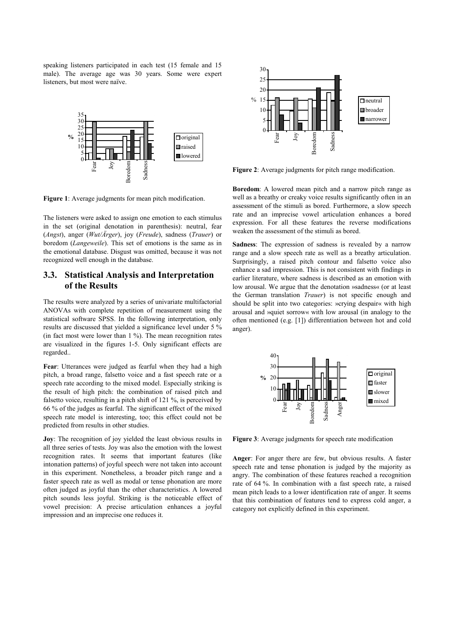speaking listeners participated in each test (15 female and 15 male). The average age was 30 years. Some were expert listeners, but most were naïve.





**Figure 2**: Average judgments for pitch range modification.

**Boredom**: A lowered mean pitch and a narrow pitch range as

well as a breathy or creaky voice results significantly often in an assessment of the stimuli as bored. Furthermore, a slow speech rate and an imprecise vowel articulation enhances a bored expression. For all these features the reverse modifications

weaken the assessment of the stimuli as bored.

**Sadness**: The expression of sadness is revealed by a narrow range and a slow speech rate as well as a breathy articulation. Surprisingly, a raised pitch contour and falsetto voice also enhance a sad impression. This is not consistent with findings in earlier literature, where sadness is described as an emotion with low arousal. We argue that the denotation »sadness« (or at least the German translation *Trauer*) is not specific enough and should be split into two categories: »crying despair« with high arousal and »quiet sorrow« with low arousal (in analogy to the often mentioned (e.g. [1]) differentiation between hot and cold anger).



**Figure 3**: Average judgments for speech rate modification

**Anger**: For anger there are few, but obvious results. A faster speech rate and tense phonation is judged by the majority as angry. The combination of these features reached a recognition rate of 64 %. In combination with a fast speech rate, a raised mean pitch leads to a lower identification rate of anger. It seems that this combination of features tend to express cold anger, a category not explicitly defined in this experiment.

**Figure 1**: Average judgments for mean pitch modification.

The listeners were asked to assign one emotion to each stimulus in the set (original denotation in parenthesis): neutral, fear (*Angst*), anger (*Wut/Ärger*), joy (*Freude*), sadness (*Trauer*) or boredom (*Langeweile*). This set of emotions is the same as in the emotional database. Disgust was omitted, because it was not recognized well enough in the database.

### **3.3. Statistical Analysis and Interpretation of the Results**

The results were analyzed by a series of univariate multifactorial ANOVAs with complete repetition of measurement using the statistical software SPSS. In the following interpretation, only results are discussed that yielded a significance level under 5 % (in fact most were lower than 1 %). The mean recognition rates are visualized in the figures 1-5. Only significant effects are regarded..

**Fear**: Utterances were judged as fearful when they had a high pitch, a broad range, falsetto voice and a fast speech rate or a speech rate according to the mixed model. Especially striking is the result of high pitch: the combination of raised pitch and falsetto voice, resulting in a pitch shift of 121 %, is perceived by 66 % of the judges as fearful. The significant effect of the mixed speech rate model is interesting, too; this effect could not be predicted from results in other studies.

**Joy**: The recognition of joy yielded the least obvious results in all three series of tests. Joy was also the emotion with the lowest recognition rates. It seems that important features (like intonation patterns) of joyful speech were not taken into account in this experiment. Nonetheless, a broader pitch range and a faster speech rate as well as modal or tense phonation are more often judged as joyful than the other characteristics. A lowered pitch sounds less joyful. Striking is the noticeable effect of vowel precision: A precise articulation enhances a joyful impression and an imprecise one reduces it.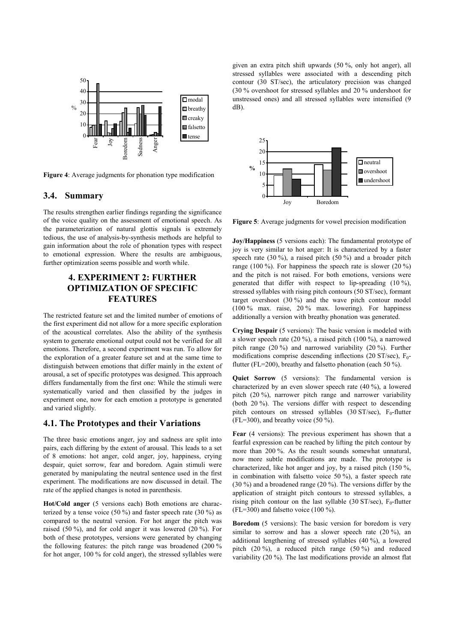

**Figure 4**: Average judgments for phonation type modification

### **3.4. Summary**

The results strengthen earlier findings regarding the significance of the voice quality on the assessment of emotional speech. As the parameterization of natural glottis signals is extremely tedious, the use of analysis-by-synthesis methods are helpful to gain information about the role of phonation types with respect to emotional expression. Where the results are ambiguous, further optimization seems possible and worth while.

## **4. EXPERIMENT 2: FURTHER OPTIMIZATION OF SPECIFIC FEATURES**

The restricted feature set and the limited number of emotions of the first experiment did not allow for a more specific exploration of the acoustical correlates. Also the ability of the synthesis system to generate emotional output could not be verified for all emotions. Therefore, a second experiment was run. To allow for the exploration of a greater feature set and at the same time to distinguish between emotions that differ mainly in the extent of arousal, a set of specific prototypes was designed. This approach differs fundamentally from the first one: While the stimuli were systematically varied and then classified by the judges in experiment one, now for each emotion a prototype is generated and varied slightly.

### **4.1. The Prototypes and their Variations**

The three basic emotions anger, joy and sadness are split into pairs, each differing by the extent of arousal. This leads to a set of 8 emotions: hot anger, cold anger, joy, happiness, crying despair, quiet sorrow, fear and boredom. Again stimuli were generated by manipulating the neutral sentence used in the first experiment. The modifications are now discussed in detail. The rate of the applied changes is noted in parenthesis.

**Hot/Cold anger** (5 versions each) Both emotions are characterized by a tense voice  $(50 \%)$  and faster speech rate  $(30 \%)$  as compared to the neutral version. For hot anger the pitch was raised (50 %), and for cold anger it was lowered (20 %). For both of these prototypes, versions were generated by changing the following features: the pitch range was broadened (200 % for hot anger, 100 % for cold anger), the stressed syllables were given an extra pitch shift upwards (50 %, only hot anger), all stressed syllables were associated with a descending pitch contour (30 ST/sec), the articulatory precision was changed (30 % overshoot for stressed syllables and 20 % undershoot for unstressed ones) and all stressed syllables were intensified (9 dB).



**Figure 5**: Average judgments for vowel precision modification

**Joy/Happiness** (5 versions each): The fundamental prototype of joy is very similar to hot anger: It is characterized by a faster speech rate  $(30 \%)$ , a raised pitch  $(50 \%)$  and a broader pitch range (100 %). For happiness the speech rate is slower (20 %) and the pitch is not raised. For both emotions, versions were generated that differ with respect to lip-spreading (10 %), stressed syllables with rising pitch contours (50 ST/sec), formant target overshoot (30 %) and the wave pitch contour model (100 % max. raise, 20 % max. lowering). For happiness additionally a version with breathy phonation was generated.

**Crying Despair** (5 versions): The basic version is modeled with a slower speech rate (20 %), a raised pitch (100 %), a narrowed pitch range (20 %) and narrowed variability (20 %). Further modifications comprise descending inflections (20 ST/sec),  $F_0$ flutter (FL=200), breathy and falsetto phonation (each 50 %).

**Quiet Sorrow** (5 versions): The fundamental version is characterized by an even slower speech rate (40 %), a lowered pitch (20 %), narrower pitch range and narrower variability (both 20 %). The versions differ with respect to descending pitch contours on stressed syllables (30 ST/sec),  $F_0$ -flutter  $(FL=300)$ , and breathy voice  $(50 \%)$ .

**Fear** (4 versions): The previous experiment has shown that a fearful expression can be reached by lifting the pitch contour by more than 200 %. As the result sounds somewhat unnatural, now more subtle modifications are made. The prototype is characterized, like hot anger and joy, by a raised pitch (150 %, in combination with falsetto voice 50 %), a faster speech rate (30 %) and a broadened range (20 %). The versions differ by the application of straight pitch contours to stressed syllables, a rising pitch contour on the last syllable (30 ST/sec),  $F_0$ -flutter  $(FL=300)$  and falsetto voice  $(100\%)$ .

**Boredom** (5 versions): The basic version for boredom is very similar to sorrow and has a slower speech rate  $(20\%)$ , and additional lengthening of stressed syllables (40 %), a lowered pitch (20 %), a reduced pitch range (50 %) and reduced variability (20 %). The last modifications provide an almost flat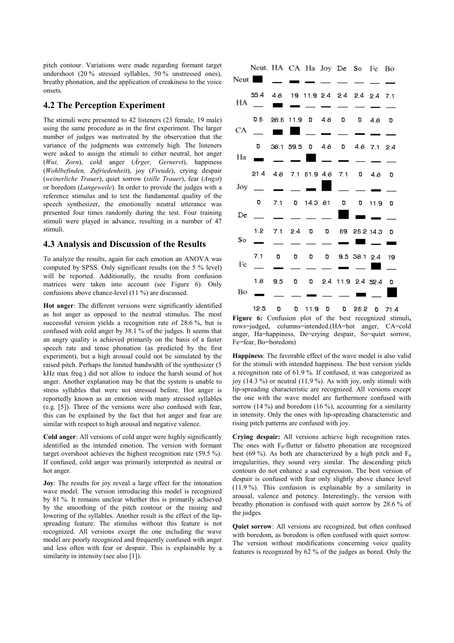pitch contour. Variations were made regarding formant target undershoot (20 % stressed syllables, 50 % unstressed ones), breathy phonation, and the application of creakiness to the voice onsets.

### **4.2 The Perception Experiment**

The stimuli were presented to 42 listeners (23 female, 19 male) using the same procedure as in the first experiment. The larger number of judges was motivated by the observation that the variance of the judgments was extremely high. The listeners were asked to assign the stimuli to either neutral, hot anger (*Wut, Zorn*), cold anger (*Ärger, Gernervt*), happiness (*Wohlbefinden, Zufriedenheit*), joy (*Freude*), crying despair (*weinerliche Trauer*), quiet sorrow (*stille Trauer*), fear (*Angst*) or boredom (*Langeweile*). In order to provide the judges with a reference stimulus and to test the fundamental quality of the speech synthesizer, the emotionally neutral utterance was presented four times randomly during the test. Four training stimuli were played in advance, resulting in a number of 47 stimuli.

#### **4.3 Analysis and Discussion of the Results**

To analyze the results, again for each emotion an ANOVA was computed by SPSS. Only significant results (on the 5 % level) will be reported. Additionally, the results from confusion matrices were taken into account (see Figure 6). Only confusions above chance-level (11 %) are discussed.

**Hot anger**: The different versions were significantly identified as hot anger as opposed to the neutral stimulus. The most successful version yields a recognition rate of 28.6 %, but is confused with cold anger by 38.1 % of the judges. It seems that an angry quality is achieved primarily on the basis of a faster speech rate and tense phonation (as predicted by the first experiment), but a high arousal could not be simulated by the raised pitch. Perhaps the limited bandwidth of the synthesizer (5 kHz max freq.) did not allow to induce the harsh sound of hot anger. Another explanation may be that the system is unable to stress syllables that were not stressed before. Hot anger is reportedly known as an emotion with many stressed syllables (e.g. [5]). Three of the versions were also confused with fear, this can be explained by the fact that hot anger and fear are similar with respect to high arousal and negative valence.

**Cold anger**: All versions of cold anger were highly significantly identified as the intended emotion. The version with formant target overshoot achieves the highest recognition rate (59.5 %). If confused, cold anger was primarily interpreted as neutral or hot anger.

**Joy**: The results for joy reveal a large effect for the intonation wave model. The version introducing this model is recognized by 81 %. It remains unclear whether this is primarily achieved by the smoothing of the pitch contour or the raising and lowering of the syllables. Another result is the effect of the lipspreading feature: The stimulus without this feature is not recognized. All versions except the one including the wave model are poorly recognized and frequently confused with anger and less often with fear or despair. This is explainable by a similarity in intensity (see also [1]).

|         | Neut. HA CA Ha Joy De So Fe Bo       |                                 |         |                           |                                     |                          |                     |  |
|---------|--------------------------------------|---------------------------------|---------|---------------------------|-------------------------------------|--------------------------|---------------------|--|
|         | Neut.                                |                                 | _ _ _ _ |                           |                                     |                          |                     |  |
|         | 55.4 4.8 19 11.9 2.4 2.4 2.4 2.4 7.1 |                                 |         |                           |                                     |                          |                     |  |
|         | $H A$ <sub>-</sub>                   | ■ ■ - - - - - -                 |         |                           |                                     |                          |                     |  |
|         | 0.6 28.6 11.9 0 4.8 0 0 4.8 0        |                                 |         |                           |                                     |                          |                     |  |
| $CA \_$ |                                      |                                 |         |                           |                                     | $ -$                     |                     |  |
|         |                                      | 0 38.1 59.5 0 4.8 0 4.8 7.1 2.4 |         |                           |                                     |                          |                     |  |
|         | Ha                                   |                                 |         |                           | — <b>— П</b> — — —                  |                          |                     |  |
|         | 21.4 4.8 7.1 61.9 4.8 7.1 0 4.8 0    |                                 |         |                           |                                     |                          |                     |  |
|         | $_{\rm Joy}$ __                      |                                 | $  -$   |                           |                                     | $\sim$ $\sim$ $\sim$     |                     |  |
|         |                                      | $0$ 7.1 0 14.3 81 0 0 11.9 0    |         |                           |                                     |                          |                     |  |
|         | $De$ $\qquad$                        | $\overline{\phantom{0}}$        |         |                           |                                     |                          |                     |  |
|         | 1.2                                  |                                 |         |                           | 7.1 2.4 0 0 69 26.2 14.3 0          |                          |                     |  |
|         | $\frac{1}{2}$ so $\frac{1}{2}$       |                                 |         | $\overline{\phantom{0}}$  |                                     |                          |                     |  |
|         | 7.1 D                                |                                 |         | $\mathbf{0}$ $\mathbf{0}$ | $0$ 9.5 38.1 2.4 19                 |                          |                     |  |
| Fe      |                                      | $\overline{\phantom{0}}$        |         |                           | and the contract of the contract of |                          | $\blacksquare$ $\_$ |  |
|         | 1.8                                  |                                 |         |                           | 9.5 0 0 2.4 11.9 2.4 52.4 0         |                          |                     |  |
| Bo      |                                      |                                 | _______ |                           |                                     | $\overline{\phantom{a}}$ |                     |  |
|         |                                      |                                 |         |                           |                                     |                          |                     |  |

 $12.5$ D  $0$  11.9  $0$  $0$  26.2  $0$  71.4 **Figure 6:** Confusion plot of the best recognized stimuli**,** rows=judged, columns=intended.(HA=hot anger, CA=cold anger, Ha=happiness, De=crying despair, So=quiet sorrow, Fe=fear, Bo=boredom)

**Happiness**: The favorable effect of the wave model is also valid for the stimuli with intended happiness. The best version yields a recognition rate of 61.9 %. If confused, it was categorized as joy (14.3 %) or neutral (11.9 %). As with joy, only stimuli with lip-spreading characteristic are recognized. All versions except the one with the wave model are furthermore confused with sorrow (14 %) and boredom (16 %), accounting for a similarity in intensity. Only the ones with lip-spreading characteristic and rising pitch patterns are confused with joy.

**Crying despair:** All versions achieve high recognition rates. The ones with  $F_0$ -flutter or falsetto phonation are recognized best (69 %). As both are characterized by a high pitch and  $F_0$ irregularities, they sound very similar. The descending pitch contours do not enhance a sad expression. The best version of despair is confused with fear only slightly above chance level (11.9 %). This confusion is explainable by a similarity in arousal, valence and potency. Interestingly, the version with breathy phonation is confused with quiet sorrow by 28.6 % of the judges.

**Quiet sorrow**: All versions are recognized, but often confused with boredom, as boredom is often confused with quiet sorrow. The version without modifications concerning voice quality features is recognized by 62 % of the judges as bored. Only the